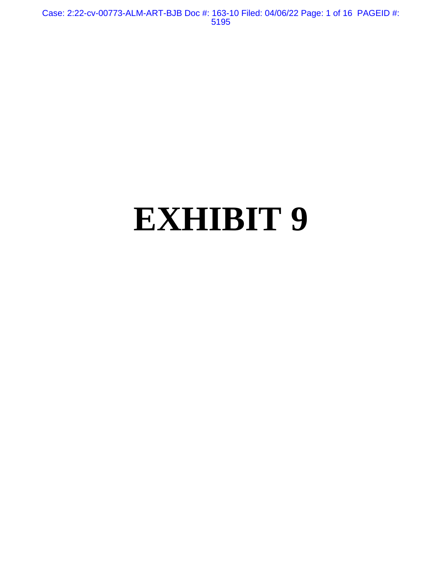Case: 2:22-cv-00773-ALM-ART-BJB Doc #: 163-10 Filed: 04/06/22 Page: 1 of 16 PAGEID #: 5195

# **EXHIBIT 9**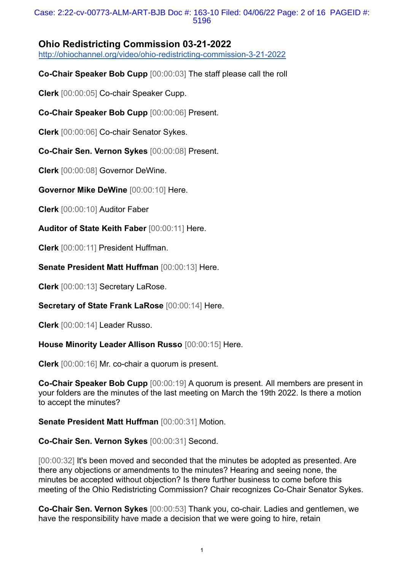### Case: 2:22-cv-00773-ALM-ART-BJB Doc #: 163-10 Filed: 04/06/22 Page: 2 of 16 PAGEID #: 5196

# **Ohio Redistricting Commission 03-21-2022**

<http://ohiochannel.org/video/ohio-redistricting-commission-3-21-2022>

**Co-Chair Speaker Bob Cupp** [00:00:03] The staff please call the roll

**Clerk** [00:00:05] Co-chair Speaker Cupp.

**Co-Chair Speaker Bob Cupp** [00:00:06] Present.

**Clerk** [00:00:06] Co-chair Senator Sykes.

**Co-Chair Sen. Vernon Sykes** [00:00:08] Present.

**Clerk** [00:00:08] Governor DeWine.

**Governor Mike DeWine** [00:00:10] Here.

**Clerk** [00:00:10] Auditor Faber

**Auditor of State Keith Faber** [00:00:11] Here.

**Clerk** [00:00:11] President Huffman.

**Senate President Matt Huffman** [00:00:13] Here.

**Clerk** [00:00:13] Secretary LaRose.

**Secretary of State Frank LaRose** [00:00:14] Here.

**Clerk** [00:00:14] Leader Russo.

**House Minority Leader Allison Russo** [00:00:15] Here.

**Clerk** [00:00:16] Mr. co-chair a quorum is present.

**Co-Chair Speaker Bob Cupp** [00:00:19] A quorum is present. All members are present in your folders are the minutes of the last meeting on March the 19th 2022. Is there a motion to accept the minutes?

**Senate President Matt Huffman** [00:00:31] Motion.

**Co-Chair Sen. Vernon Sykes** [00:00:31] Second.

[00:00:32] It's been moved and seconded that the minutes be adopted as presented. Are there any objections or amendments to the minutes? Hearing and seeing none, the minutes be accepted without objection? Is there further business to come before this meeting of the Ohio Redistricting Commission? Chair recognizes Co-Chair Senator Sykes.

**Co-Chair Sen. Vernon Sykes** [00:00:53] Thank you, co-chair. Ladies and gentlemen, we have the responsibility have made a decision that we were going to hire, retain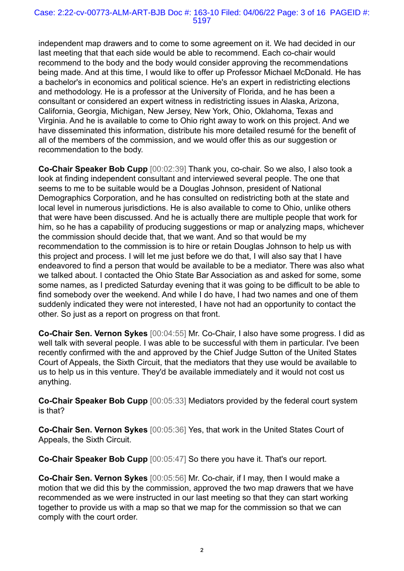#### Case: 2:22-cv-00773-ALM-ART-BJB Doc #: 163-10 Filed: 04/06/22 Page: 3 of 16 PAGEID #: 5197

independent map drawers and to come to some agreement on it. We had decided in our last meeting that that each side would be able to recommend. Each co-chair would recommend to the body and the body would consider approving the recommendations being made. And at this time, I would like to offer up Professor Michael McDonald. He has a bachelor's in economics and political science. He's an expert in redistricting elections and methodology. He is a professor at the University of Florida, and he has been a consultant or considered an expert witness in redistricting issues in Alaska, Arizona, California, Georgia, Michigan, New Jersey, New York, Ohio, Oklahoma, Texas and Virginia. And he is available to come to Ohio right away to work on this project. And we have disseminated this information, distribute his more detailed resumé for the benefit of all of the members of the commission, and we would offer this as our suggestion or recommendation to the body.

**Co-Chair Speaker Bob Cupp** [00:02:39] Thank you, co-chair. So we also, I also took a look at finding independent consultant and interviewed several people. The one that seems to me to be suitable would be a Douglas Johnson, president of National Demographics Corporation, and he has consulted on redistricting both at the state and local level in numerous jurisdictions. He is also available to come to Ohio, unlike others that were have been discussed. And he is actually there are multiple people that work for him, so he has a capability of producing suggestions or map or analyzing maps, whichever the commission should decide that, that we want. And so that would be my recommendation to the commission is to hire or retain Douglas Johnson to help us with this project and process. I will let me just before we do that, I will also say that I have endeavored to find a person that would be available to be a mediator. There was also what we talked about. I contacted the Ohio State Bar Association as and asked for some, some some names, as I predicted Saturday evening that it was going to be difficult to be able to find somebody over the weekend. And while I do have, I had two names and one of them suddenly indicated they were not interested, I have not had an opportunity to contact the other. So just as a report on progress on that front.

**Co-Chair Sen. Vernon Sykes** [00:04:55] Mr. Co-Chair, I also have some progress. I did as well talk with several people. I was able to be successful with them in particular. I've been recently confirmed with the and approved by the Chief Judge Sutton of the United States Court of Appeals, the Sixth Circuit, that the mediators that they use would be available to us to help us in this venture. They'd be available immediately and it would not cost us anything.

**Co-Chair Speaker Bob Cupp** [00:05:33] Mediators provided by the federal court system is that?

**Co-Chair Sen. Vernon Sykes** [00:05:36] Yes, that work in the United States Court of Appeals, the Sixth Circuit.

**Co-Chair Speaker Bob Cupp** [00:05:47] So there you have it. That's our report.

**Co-Chair Sen. Vernon Sykes** [00:05:56] Mr. Co-chair, if I may, then I would make a motion that we did this by the commission, approved the two map drawers that we have recommended as we were instructed in our last meeting so that they can start working together to provide us with a map so that we map for the commission so that we can comply with the court order.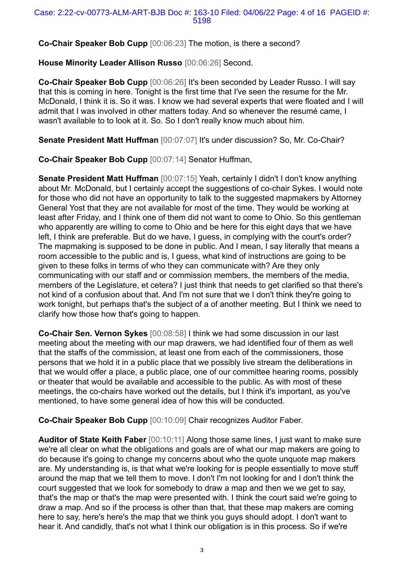**Co-Chair Speaker Bob Cupp** [00:06:23] The motion, is there a second?

**House Minority Leader Allison Russo** [00:06:26] Second.

**Co-Chair Speaker Bob Cupp** [00:06:26] It's been seconded by Leader Russo. I will say that this is coming in here. Tonight is the first time that I've seen the resume for the Mr. McDonald, I think it is. So it was. I know we had several experts that were floated and I will admit that I was involved in other matters today. And so whenever the resumé came, I wasn't available to to look at it. So. So I don't really know much about him.

**Senate President Matt Huffman** [00:07:07] It's under discussion? So, Mr. Co-Chair?

**Co-Chair Speaker Bob Cupp** [00:07:14] Senator Huffman,

**Senate President Matt Huffman** [00:07:15] Yeah, certainly I didn't I don't know anything about Mr. McDonald, but I certainly accept the suggestions of co-chair Sykes. I would note for those who did not have an opportunity to talk to the suggested mapmakers by Attorney General Yost that they are not available for most of the time. They would be working at least after Friday, and I think one of them did not want to come to Ohio. So this gentleman who apparently are willing to come to Ohio and be here for this eight days that we have left, I think are preferable. But do we have, I guess, in complying with the court's order? The mapmaking is supposed to be done in public. And I mean, I say literally that means a room accessible to the public and is, I guess, what kind of instructions are going to be given to these folks in terms of who they can communicate with? Are they only communicating with our staff and or commission members, the members of the media, members of the Legislature, et cetera? I just think that needs to get clarified so that there's not kind of a confusion about that. And I'm not sure that we I don't think they're going to work tonight, but perhaps that's the subject of a of another meeting. But I think we need to clarify how those how that's going to happen.

**Co-Chair Sen. Vernon Sykes** [00:08:58] I think we had some discussion in our last meeting about the meeting with our map drawers, we had identified four of them as well that the staffs of the commission, at least one from each of the commissioners, those persons that we hold it in a public place that we possibly live stream the deliberations in that we would offer a place, a public place, one of our committee hearing rooms, possibly or theater that would be available and accessible to the public. As with most of these meetings, the co-chairs have worked out the details, but I think it's important, as you've mentioned, to have some general idea of how this will be conducted.

**Co-Chair Speaker Bob Cupp** [00:10:09] Chair recognizes Auditor Faber.

**Auditor of State Keith Faber** [00:10:11] Along those same lines, I just want to make sure we're all clear on what the obligations and goals are of what our map makers are going to do because it's going to change my concerns about who the quote unquote map makers are. My understanding is, is that what we're looking for is people essentially to move stuff around the map that we tell them to move. I don't I'm not looking for and I don't think the court suggested that we look for somebody to draw a map and then we we get to say, that's the map or that's the map were presented with. I think the court said we're going to draw a map. And so if the process is other than that, that these map makers are coming here to say, here's here's the map that we think you guys should adopt. I don't want to hear it. And candidly, that's not what I think our obligation is in this process. So if we're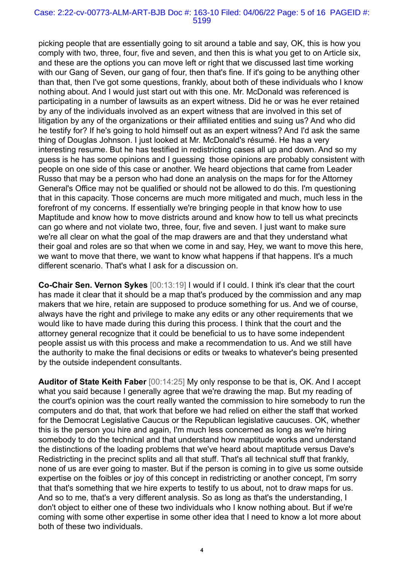#### Case: 2:22-cv-00773-ALM-ART-BJB Doc #: 163-10 Filed: 04/06/22 Page: 5 of 16 PAGEID #: 5199

picking people that are essentially going to sit around a table and say, OK, this is how you comply with two, three, four, five and seven, and then this is what you get to on Article six, and these are the options you can move left or right that we discussed last time working with our Gang of Seven, our gang of four, then that's fine. If it's going to be anything other than that, then I've got some questions, frankly, about both of these individuals who I know nothing about. And I would just start out with this one. Mr. McDonald was referenced is participating in a number of lawsuits as an expert witness. Did he or was he ever retained by any of the individuals involved as an expert witness that are involved in this set of litigation by any of the organizations or their affiliated entities and suing us? And who did he testify for? If he's going to hold himself out as an expert witness? And I'd ask the same thing of Douglas Johnson. I just looked at Mr. McDonald's résumé. He has a very interesting resume. But he has testified in redistricting cases all up and down. And so my guess is he has some opinions and I guessing those opinions are probably consistent with people on one side of this case or another. We heard objections that came from Leader Russo that may be a person who had done an analysis on the maps for for the Attorney General's Office may not be qualified or should not be allowed to do this. I'm questioning that in this capacity. Those concerns are much more mitigated and much, much less in the forefront of my concerns. If essentially we're bringing people in that know how to use Maptitude and know how to move districts around and know how to tell us what precincts can go where and not violate two, three, four, five and seven. I just want to make sure we're all clear on what the goal of the map drawers are and that they understand what their goal and roles are so that when we come in and say, Hey, we want to move this here, we want to move that there, we want to know what happens if that happens. It's a much different scenario. That's what I ask for a discussion on.

**Co-Chair Sen. Vernon Sykes** [00:13:19] I would if I could. I think it's clear that the court has made it clear that it should be a map that's produced by the commission and any map makers that we hire, retain are supposed to produce something for us. And we of course, always have the right and privilege to make any edits or any other requirements that we would like to have made during this during this process. I think that the court and the attorney general recognize that it could be beneficial to us to have some independent people assist us with this process and make a recommendation to us. And we still have the authority to make the final decisions or edits or tweaks to whatever's being presented by the outside independent consultants.

**Auditor of State Keith Faber** [00:14:25] My only response to be that is, OK. And I accept what you said because I generally agree that we're drawing the map. But my reading of the court's opinion was the court really wanted the commission to hire somebody to run the computers and do that, that work that before we had relied on either the staff that worked for the Democrat Legislative Caucus or the Republican legislative caucuses. OK, whether this is the person you hire and again, I'm much less concerned as long as we're hiring somebody to do the technical and that understand how maptitude works and understand the distinctions of the loading problems that we've heard about maptitude versus Dave's Redistricting in the precinct splits and all that stuff. That's all technical stuff that frankly, none of us are ever going to master. But if the person is coming in to give us some outside expertise on the foibles or joy of this concept in redistricting or another concept, I'm sorry that that's something that we hire experts to testify to us about, not to draw maps for us. And so to me, that's a very different analysis. So as long as that's the understanding, I don't object to either one of these two individuals who I know nothing about. But if we're coming with some other expertise in some other idea that I need to know a lot more about both of these two individuals.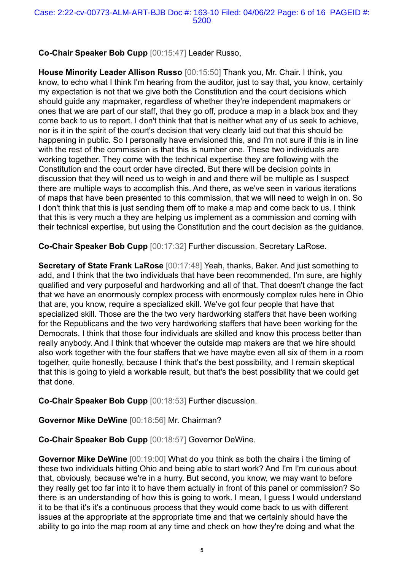# **Co-Chair Speaker Bob Cupp** [00:15:47] Leader Russo,

**House Minority Leader Allison Russo** [00:15:50] Thank you, Mr. Chair. I think, you know, to echo what I think I'm hearing from the auditor, just to say that, you know, certainly my expectation is not that we give both the Constitution and the court decisions which should guide any mapmaker, regardless of whether they're independent mapmakers or ones that we are part of our staff, that they go off, produce a map in a black box and they come back to us to report. I don't think that that is neither what any of us seek to achieve, nor is it in the spirit of the court's decision that very clearly laid out that this should be happening in public. So I personally have envisioned this, and I'm not sure if this is in line with the rest of the commission is that this is number one. These two individuals are working together. They come with the technical expertise they are following with the Constitution and the court order have directed. But there will be decision points in discussion that they will need us to weigh in and and there will be multiple as I suspect there are multiple ways to accomplish this. And there, as we've seen in various iterations of maps that have been presented to this commission, that we will need to weigh in on. So I don't think that this is just sending them off to make a map and come back to us. I think that this is very much a they are helping us implement as a commission and coming with their technical expertise, but using the Constitution and the court decision as the guidance.

**Co-Chair Speaker Bob Cupp** [00:17:32] Further discussion. Secretary LaRose.

**Secretary of State Frank LaRose** [00:17:48] Yeah, thanks, Baker. And just something to add, and I think that the two individuals that have been recommended, I'm sure, are highly qualified and very purposeful and hardworking and all of that. That doesn't change the fact that we have an enormously complex process with enormously complex rules here in Ohio that are, you know, require a specialized skill. We've got four people that have that specialized skill. Those are the the two very hardworking staffers that have been working for the Republicans and the two very hardworking staffers that have been working for the Democrats. I think that those four individuals are skilled and know this process better than really anybody. And I think that whoever the outside map makers are that we hire should also work together with the four staffers that we have maybe even all six of them in a room together, quite honestly, because I think that's the best possibility, and I remain skeptical that this is going to yield a workable result, but that's the best possibility that we could get that done.

**Co-Chair Speaker Bob Cupp** [00:18:53] Further discussion.

**Governor Mike DeWine** [00:18:56] Mr. Chairman?

**Co-Chair Speaker Bob Cupp** [00:18:57] Governor DeWine.

**Governor Mike DeWine** [00:19:00] What do you think as both the chairs i the timing of these two individuals hitting Ohio and being able to start work? And I'm I'm curious about that, obviously, because we're in a hurry. But second, you know, we may want to before they really get too far into it to have them actually in front of this panel or commission? So there is an understanding of how this is going to work. I mean, I guess I would understand it to be that it's it's a continuous process that they would come back to us with different issues at the appropriate at the appropriate time and that we certainly should have the ability to go into the map room at any time and check on how they're doing and what the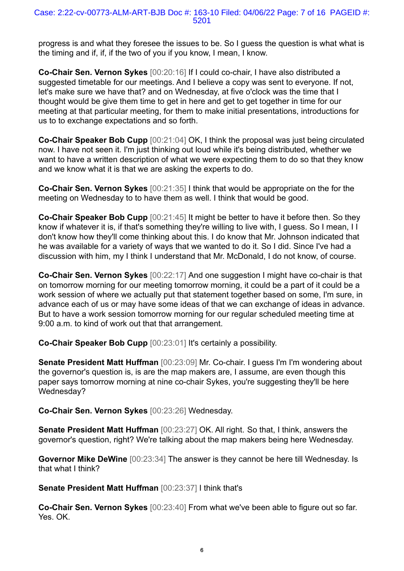progress is and what they foresee the issues to be. So I guess the question is what what is the timing and if, if, if the two of you if you know, I mean, I know.

**Co-Chair Sen. Vernon Sykes** [00:20:16] If I could co-chair, I have also distributed a suggested timetable for our meetings. And I believe a copy was sent to everyone. If not, let's make sure we have that? and on Wednesday, at five o'clock was the time that I thought would be give them time to get in here and get to get together in time for our meeting at that particular meeting, for them to make initial presentations, introductions for us to to exchange expectations and so forth.

**Co-Chair Speaker Bob Cupp** [00:21:04] OK, I think the proposal was just being circulated now. I have not seen it. I'm just thinking out loud while it's being distributed, whether we want to have a written description of what we were expecting them to do so that they know and we know what it is that we are asking the experts to do.

**Co-Chair Sen. Vernon Sykes** [00:21:35] I think that would be appropriate on the for the meeting on Wednesday to to have them as well. I think that would be good.

**Co-Chair Speaker Bob Cupp** [00:21:45] It might be better to have it before then. So they know if whatever it is, if that's something they're willing to live with, I guess. So I mean, I I don't know how they'll come thinking about this. I do know that Mr. Johnson indicated that he was available for a variety of ways that we wanted to do it. So I did. Since I've had a discussion with him, my I think I understand that Mr. McDonald, I do not know, of course.

**Co-Chair Sen. Vernon Sykes** [00:22:17] And one suggestion I might have co-chair is that on tomorrow morning for our meeting tomorrow morning, it could be a part of it could be a work session of where we actually put that statement together based on some, I'm sure, in advance each of us or may have some ideas of that we can exchange of ideas in advance. But to have a work session tomorrow morning for our regular scheduled meeting time at 9:00 a.m. to kind of work out that that arrangement.

**Co-Chair Speaker Bob Cupp** [00:23:01] It's certainly a possibility.

**Senate President Matt Huffman** [00:23:09] Mr. Co-chair. I guess I'm I'm wondering about the governor's question is, is are the map makers are, I assume, are even though this paper says tomorrow morning at nine co-chair Sykes, you're suggesting they'll be here Wednesday?

**Co-Chair Sen. Vernon Sykes** [00:23:26] Wednesday.

**Senate President Matt Huffman** [00:23:27] OK. All right. So that, I think, answers the governor's question, right? We're talking about the map makers being here Wednesday.

**Governor Mike DeWine** [00:23:34] The answer is they cannot be here till Wednesday. Is that what I think?

**Senate President Matt Huffman** [00:23:37] I think that's

**Co-Chair Sen. Vernon Sykes** [00:23:40] From what we've been able to figure out so far. Yes. OK.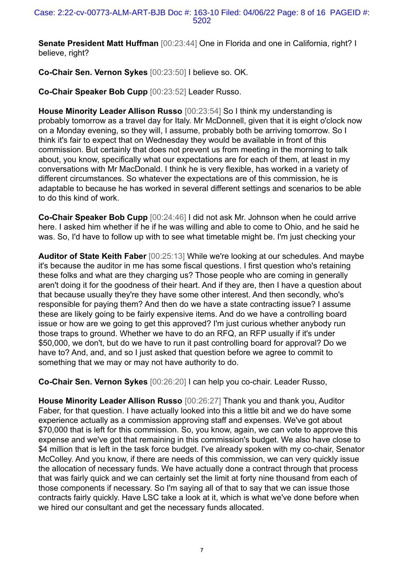**Senate President Matt Huffman** [00:23:44] One in Florida and one in California, right? I believe, right?

**Co-Chair Sen. Vernon Sykes** [00:23:50] I believe so. OK.

**Co-Chair Speaker Bob Cupp** [00:23:52] Leader Russo.

**House Minority Leader Allison Russo** [00:23:54] So I think my understanding is probably tomorrow as a travel day for Italy. Mr McDonnell, given that it is eight o'clock now on a Monday evening, so they will, I assume, probably both be arriving tomorrow. So I think it's fair to expect that on Wednesday they would be available in front of this commission. But certainly that does not prevent us from meeting in the morning to talk about, you know, specifically what our expectations are for each of them, at least in my conversations with Mr MacDonald. I think he is very flexible, has worked in a variety of different circumstances. So whatever the expectations are of this commission, he is adaptable to because he has worked in several different settings and scenarios to be able to do this kind of work.

**Co-Chair Speaker Bob Cupp** [00:24:46] I did not ask Mr. Johnson when he could arrive here. I asked him whether if he if he was willing and able to come to Ohio, and he said he was. So, I'd have to follow up with to see what timetable might be. I'm just checking your

**Auditor of State Keith Faber** [00:25:13] While we're looking at our schedules. And maybe it's because the auditor in me has some fiscal questions. I first question who's retaining these folks and what are they charging us? Those people who are coming in generally aren't doing it for the goodness of their heart. And if they are, then I have a question about that because usually they're they have some other interest. And then secondly, who's responsible for paying them? And then do we have a state contracting issue? I assume these are likely going to be fairly expensive items. And do we have a controlling board issue or how are we going to get this approved? I'm just curious whether anybody run those traps to ground. Whether we have to do an RFQ, an RFP usually if it's under \$50,000, we don't, but do we have to run it past controlling board for approval? Do we have to? And, and, and so I just asked that question before we agree to commit to something that we may or may not have authority to do.

**Co-Chair Sen. Vernon Sykes** [00:26:20] I can help you co-chair. Leader Russo,

**House Minority Leader Allison Russo** [00:26:27] Thank you and thank you, Auditor Faber, for that question. I have actually looked into this a little bit and we do have some experience actually as a commission approving staff and expenses. We've got about \$70,000 that is left for this commission. So, you know, again, we can vote to approve this expense and we've got that remaining in this commission's budget. We also have close to \$4 million that is left in the task force budget. I've already spoken with my co-chair, Senator McColley. And you know, if there are needs of this commission, we can very quickly issue the allocation of necessary funds. We have actually done a contract through that process that was fairly quick and we can certainly set the limit at forty nine thousand from each of those components if necessary. So I'm saying all of that to say that we can issue those contracts fairly quickly. Have LSC take a look at it, which is what we've done before when we hired our consultant and get the necessary funds allocated.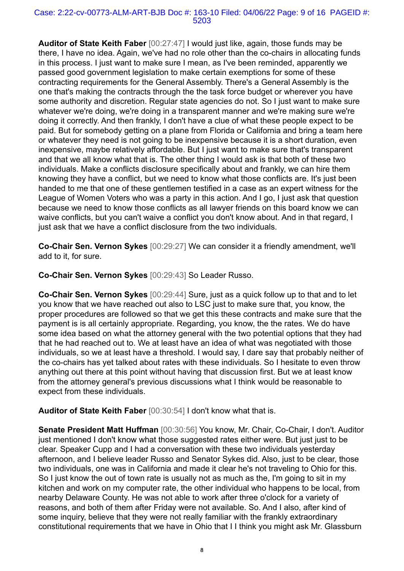#### Case: 2:22-cv-00773-ALM-ART-BJB Doc #: 163-10 Filed: 04/06/22 Page: 9 of 16 PAGEID #: 5203

**Auditor of State Keith Faber** [00:27:47] I would just like, again, those funds may be there, I have no idea. Again, we've had no role other than the co-chairs in allocating funds in this process. I just want to make sure I mean, as I've been reminded, apparently we passed good government legislation to make certain exemptions for some of these contracting requirements for the General Assembly. There's a General Assembly is the one that's making the contracts through the the task force budget or wherever you have some authority and discretion. Regular state agencies do not. So I just want to make sure whatever we're doing, we're doing in a transparent manner and we're making sure we're doing it correctly. And then frankly, I don't have a clue of what these people expect to be paid. But for somebody getting on a plane from Florida or California and bring a team here or whatever they need is not going to be inexpensive because it is a short duration, even inexpensive, maybe relatively affordable. But I just want to make sure that's transparent and that we all know what that is. The other thing I would ask is that both of these two individuals. Make a conflicts disclosure specifically about and frankly, we can hire them knowing they have a conflict, but we need to know what those conflicts are. It's just been handed to me that one of these gentlemen testified in a case as an expert witness for the League of Women Voters who was a party in this action. And I go, I just ask that question because we need to know those conflicts as all lawyer friends on this board know we can waive conflicts, but you can't waive a conflict you don't know about. And in that regard, I just ask that we have a conflict disclosure from the two individuals.

**Co-Chair Sen. Vernon Sykes** [00:29:27] We can consider it a friendly amendment, we'll add to it, for sure.

**Co-Chair Sen. Vernon Sykes** [00:29:43] So Leader Russo.

**Co-Chair Sen. Vernon Sykes** [00:29:44] Sure, just as a quick follow up to that and to let you know that we have reached out also to LSC just to make sure that, you know, the proper procedures are followed so that we get this these contracts and make sure that the payment is is all certainly appropriate. Regarding, you know, the the rates. We do have some idea based on what the attorney general with the two potential options that they had that he had reached out to. We at least have an idea of what was negotiated with those individuals, so we at least have a threshold. I would say, I dare say that probably neither of the co-chairs has yet talked about rates with these individuals. So I hesitate to even throw anything out there at this point without having that discussion first. But we at least know from the attorney general's previous discussions what I think would be reasonable to expect from these individuals.

**Auditor of State Keith Faber** [00:30:54] I don't know what that is.

**Senate President Matt Huffman** [00:30:56] You know, Mr. Chair, Co-Chair, I don't. Auditor just mentioned I don't know what those suggested rates either were. But just just to be clear. Speaker Cupp and I had a conversation with these two individuals yesterday afternoon, and I believe leader Russo and Senator Sykes did. Also, just to be clear, those two individuals, one was in California and made it clear he's not traveling to Ohio for this. So I just know the out of town rate is usually not as much as the, I'm going to sit in my kitchen and work on my computer rate, the other individual who happens to be local, from nearby Delaware County. He was not able to work after three o'clock for a variety of reasons, and both of them after Friday were not available. So. And I also, after kind of some inquiry, believe that they were not really familiar with the frankly extraordinary constitutional requirements that we have in Ohio that I I think you might ask Mr. Glassburn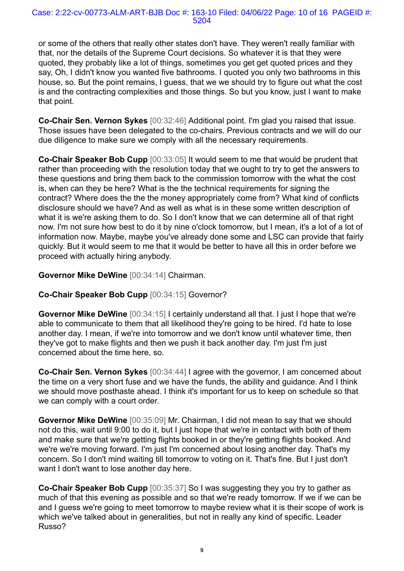or some of the others that really other states don't have. They weren't really familiar with that, nor the details of the Supreme Court decisions. So whatever it is that they were quoted, they probably like a lot of things, sometimes you get get quoted prices and they say, Oh, I didn't know you wanted five bathrooms. I quoted you only two bathrooms in this house, so. But the point remains, I guess, that we we should try to figure out what the cost is and the contracting complexities and those things. So but you know, just I want to make that point.

**Co-Chair Sen. Vernon Sykes** [00:32:46] Additional point. I'm glad you raised that issue. Those issues have been delegated to the co-chairs. Previous contracts and we will do our due diligence to make sure we comply with all the necessary requirements.

**Co-Chair Speaker Bob Cupp** [00:33:05] It would seem to me that would be prudent that rather than proceeding with the resolution today that we ought to try to get the answers to these questions and bring them back to the commission tomorrow with the what the cost is, when can they be here? What is the the technical requirements for signing the contract? Where does the the the money appropriately come from? What kind of conflicts disclosure should we have? And as well as what is in these some written description of what it is we're asking them to do. So I don't know that we can determine all of that right now. I'm not sure how best to do it by nine o'clock tomorrow, but I mean, it's a lot of a lot of information now. Maybe, maybe you've already done some and LSC can provide that fairly quickly. But it would seem to me that it would be better to have all this in order before we proceed with actually hiring anybody.

## **Governor Mike DeWine** [00:34:14] Chairman.

## **Co-Chair Speaker Bob Cupp** [00:34:15] Governor?

**Governor Mike DeWine** [00:34:15] I certainly understand all that. I just I hope that we're able to communicate to them that all likelihood they're going to be hired. I'd hate to lose another day. I mean, if we're into tomorrow and we don't know until whatever time, then they've got to make flights and then we push it back another day. I'm just I'm just concerned about the time here, so.

**Co-Chair Sen. Vernon Sykes** [00:34:44] I agree with the governor, I am concerned about the time on a very short fuse and we have the funds, the ability and guidance. And I think we should move posthaste ahead. I think it's important for us to keep on schedule so that we can comply with a court order.

**Governor Mike DeWine** [00:35:09] Mr. Chairman, I did not mean to say that we should not do this, wait until 9:00 to do it, but I just hope that we're in contact with both of them and make sure that we're getting flights booked in or they're getting flights booked. And we're we're moving forward. I'm just I'm concerned about losing another day. That's my concern. So I don't mind waiting till tomorrow to voting on it. That's fine. But I just don't want I don't want to lose another day here.

**Co-Chair Speaker Bob Cupp** [00:35:37] So I was suggesting they you try to gather as much of that this evening as possible and so that we're ready tomorrow. If we if we can be and I guess we're going to meet tomorrow to maybe review what it is their scope of work is which we've talked about in generalities, but not in really any kind of specific. Leader Russo?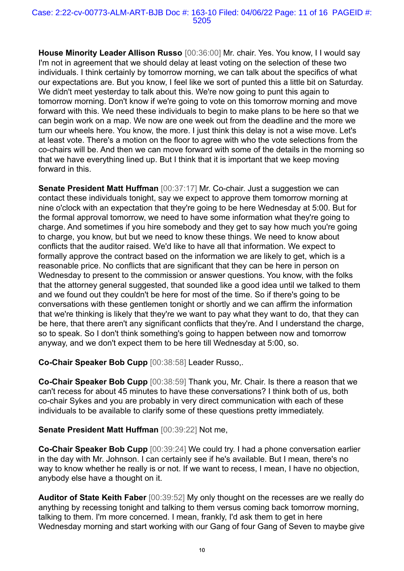**House Minority Leader Allison Russo** [00:36:00] Mr. chair. Yes. You know, I I would say I'm not in agreement that we should delay at least voting on the selection of these two individuals. I think certainly by tomorrow morning, we can talk about the specifics of what our expectations are. But you know, I feel like we sort of punted this a little bit on Saturday. We didn't meet yesterday to talk about this. We're now going to punt this again to tomorrow morning. Don't know if we're going to vote on this tomorrow morning and move forward with this. We need these individuals to begin to make plans to be here so that we can begin work on a map. We now are one week out from the deadline and the more we turn our wheels here. You know, the more. I just think this delay is not a wise move. Let's at least vote. There's a motion on the floor to agree with who the vote selections from the co-chairs will be. And then we can move forward with some of the details in the morning so that we have everything lined up. But I think that it is important that we keep moving forward in this.

**Senate President Matt Huffman** [00:37:17] Mr. Co-chair. Just a suggestion we can contact these individuals tonight, say we expect to approve them tomorrow morning at nine o'clock with an expectation that they're going to be here Wednesday at 5:00. But for the formal approval tomorrow, we need to have some information what they're going to charge. And sometimes if you hire somebody and they get to say how much you're going to charge, you know, but but we need to know these things. We need to know about conflicts that the auditor raised. We'd like to have all that information. We expect to formally approve the contract based on the information we are likely to get, which is a reasonable price. No conflicts that are significant that they can be here in person on Wednesday to present to the commission or answer questions. You know, with the folks that the attorney general suggested, that sounded like a good idea until we talked to them and we found out they couldn't be here for most of the time. So if there's going to be conversations with these gentlemen tonight or shortly and we can affirm the information that we're thinking is likely that they're we want to pay what they want to do, that they can be here, that there aren't any significant conflicts that they're. And I understand the charge, so to speak. So I don't think something's going to happen between now and tomorrow anyway, and we don't expect them to be here till Wednesday at 5:00, so.

**Co-Chair Speaker Bob Cupp** [00:38:58] Leader Russo,.

**Co-Chair Speaker Bob Cupp** [00:38:59] Thank you, Mr. Chair. Is there a reason that we can't recess for about 45 minutes to have these conversations? I think both of us, both co-chair Sykes and you are probably in very direct communication with each of these individuals to be available to clarify some of these questions pretty immediately.

## **Senate President Matt Huffman** [00:39:22] Not me,

**Co-Chair Speaker Bob Cupp** [00:39:24] We could try. I had a phone conversation earlier in the day with Mr. Johnson. I can certainly see if he's available. But I mean, there's no way to know whether he really is or not. If we want to recess, I mean, I have no objection, anybody else have a thought on it.

**Auditor of State Keith Faber** [00:39:52] My only thought on the recesses are we really do anything by recessing tonight and talking to them versus coming back tomorrow morning, talking to them. I'm more concerned. I mean, frankly, I'd ask them to get in here Wednesday morning and start working with our Gang of four Gang of Seven to maybe give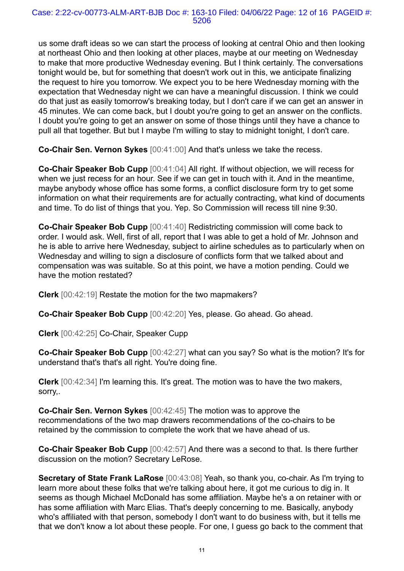us some draft ideas so we can start the process of looking at central Ohio and then looking at northeast Ohio and then looking at other places, maybe at our meeting on Wednesday to make that more productive Wednesday evening. But I think certainly. The conversations tonight would be, but for something that doesn't work out in this, we anticipate finalizing the request to hire you tomorrow. We expect you to be here Wednesday morning with the expectation that Wednesday night we can have a meaningful discussion. I think we could do that just as easily tomorrow's breaking today, but I don't care if we can get an answer in 45 minutes. We can come back, but I doubt you're going to get an answer on the conflicts. I doubt you're going to get an answer on some of those things until they have a chance to pull all that together. But but I maybe I'm willing to stay to midnight tonight, I don't care.

**Co-Chair Sen. Vernon Sykes** [00:41:00] And that's unless we take the recess.

**Co-Chair Speaker Bob Cupp** [00:41:04] All right. If without objection, we will recess for when we just recess for an hour. See if we can get in touch with it. And in the meantime, maybe anybody whose office has some forms, a conflict disclosure form try to get some information on what their requirements are for actually contracting, what kind of documents and time. To do list of things that you. Yep. So Commission will recess till nine 9:30.

**Co-Chair Speaker Bob Cupp** [00:41:40] Redistricting commission will come back to order. I would ask. Well, first of all, report that I was able to get a hold of Mr. Johnson and he is able to arrive here Wednesday, subject to airline schedules as to particularly when on Wednesday and willing to sign a disclosure of conflicts form that we talked about and compensation was was suitable. So at this point, we have a motion pending. Could we have the motion restated?

**Clerk** [00:42:19] Restate the motion for the two mapmakers?

**Co-Chair Speaker Bob Cupp** [00:42:20] Yes, please. Go ahead. Go ahead.

**Clerk** [00:42:25] Co-Chair, Speaker Cupp

**Co-Chair Speaker Bob Cupp** [00:42:27] what can you say? So what is the motion? It's for understand that's that's all right. You're doing fine.

**Clerk** [00:42:34] I'm learning this. It's great. The motion was to have the two makers, sorry,.

**Co-Chair Sen. Vernon Sykes** [00:42:45] The motion was to approve the recommendations of the two map drawers recommendations of the co-chairs to be retained by the commission to complete the work that we have ahead of us.

**Co-Chair Speaker Bob Cupp** [00:42:57] And there was a second to that. Is there further discussion on the motion? Secretary LeRose.

**Secretary of State Frank LaRose** [00:43:08] Yeah, so thank you, co-chair. As I'm trying to learn more about these folks that we're talking about here, it got me curious to dig in. It seems as though Michael McDonald has some affiliation. Maybe he's a on retainer with or has some affiliation with Marc Elias. That's deeply concerning to me. Basically, anybody who's affiliated with that person, somebody I don't want to do business with, but it tells me that we don't know a lot about these people. For one, I guess go back to the comment that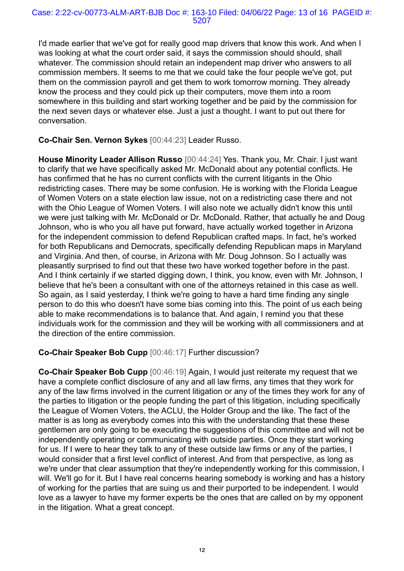I'd made earlier that we've got for really good map drivers that know this work. And when I was looking at what the court order said, it says the commission should should, shall whatever. The commission should retain an independent map driver who answers to all commission members. It seems to me that we could take the four people we've got, put them on the commission payroll and get them to work tomorrow morning. They already know the process and they could pick up their computers, move them into a room somewhere in this building and start working together and be paid by the commission for the next seven days or whatever else. Just a just a thought. I want to put out there for conversation.

**Co-Chair Sen. Vernon Sykes** [00:44:23] Leader Russo.

**House Minority Leader Allison Russo** [00:44:24] Yes. Thank you, Mr. Chair. I just want to clarify that we have specifically asked Mr. McDonald about any potential conflicts. He has confirmed that he has no current conflicts with the current litigants in the Ohio redistricting cases. There may be some confusion. He is working with the Florida League of Women Voters on a state election law issue, not on a redistricting case there and not with the Ohio League of Women Voters. I will also note we actually didn't know this until we were just talking with Mr. McDonald or Dr. McDonald. Rather, that actually he and Doug Johnson, who is who you all have put forward, have actually worked together in Arizona for the independent commission to defend Republican crafted maps. In fact, he's worked for both Republicans and Democrats, specifically defending Republican maps in Maryland and Virginia. And then, of course, in Arizona with Mr. Doug Johnson. So I actually was pleasantly surprised to find out that these two have worked together before in the past. And I think certainly if we started digging down, I think, you know, even with Mr. Johnson, I believe that he's been a consultant with one of the attorneys retained in this case as well. So again, as I said yesterday, I think we're going to have a hard time finding any single person to do this who doesn't have some bias coming into this. The point of us each being able to make recommendations is to balance that. And again, I remind you that these individuals work for the commission and they will be working with all commissioners and at the direction of the entire commission.

# **Co-Chair Speaker Bob Cupp** [00:46:17] Further discussion?

**Co-Chair Speaker Bob Cupp** [00:46:19] Again, I would just reiterate my request that we have a complete conflict disclosure of any and all law firms, any times that they work for any of the law firms involved in the current litigation or any of the times they work for any of the parties to litigation or the people funding the part of this litigation, including specifically the League of Women Voters, the ACLU, the Holder Group and the like. The fact of the matter is as long as everybody comes into this with the understanding that these these gentlemen are only going to be executing the suggestions of this committee and will not be independently operating or communicating with outside parties. Once they start working for us. If I were to hear they talk to any of these outside law firms or any of the parties, I would consider that a first level conflict of interest. And from that perspective, as long as we're under that clear assumption that they're independently working for this commission, I will. We'll go for it. But I have real concerns hearing somebody is working and has a history of working for the parties that are suing us and their purported to be independent. I would love as a lawyer to have my former experts be the ones that are called on by my opponent in the litigation. What a great concept.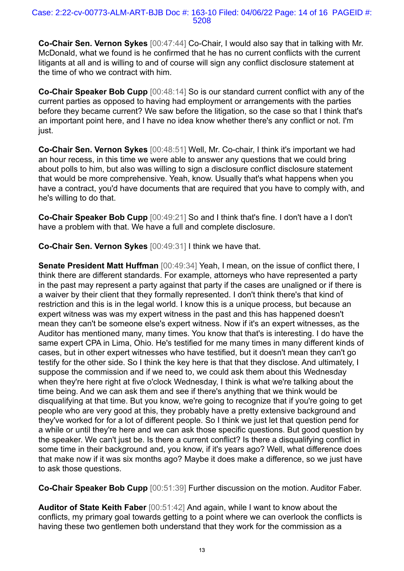**Co-Chair Sen. Vernon Sykes** [00:47:44] Co-Chair, I would also say that in talking with Mr. McDonald, what we found is he confirmed that he has no current conflicts with the current litigants at all and is willing to and of course will sign any conflict disclosure statement at the time of who we contract with him.

**Co-Chair Speaker Bob Cupp** [00:48:14] So is our standard current conflict with any of the current parties as opposed to having had employment or arrangements with the parties before they became current? We saw before the litigation, so the case so that I think that's an important point here, and I have no idea know whether there's any conflict or not. I'm just.

**Co-Chair Sen. Vernon Sykes** [00:48:51] Well, Mr. Co-chair, I think it's important we had an hour recess, in this time we were able to answer any questions that we could bring about polls to him, but also was willing to sign a disclosure conflict disclosure statement that would be more comprehensive. Yeah, know. Usually that's what happens when you have a contract, you'd have documents that are required that you have to comply with, and he's willing to do that.

**Co-Chair Speaker Bob Cupp** [00:49:21] So and I think that's fine. I don't have a I don't have a problem with that. We have a full and complete disclosure.

**Co-Chair Sen. Vernon Sykes** [00:49:31] I think we have that.

**Senate President Matt Huffman** [00:49:34] Yeah, I mean, on the issue of conflict there, I think there are different standards. For example, attorneys who have represented a party in the past may represent a party against that party if the cases are unaligned or if there is a waiver by their client that they formally represented. I don't think there's that kind of restriction and this is in the legal world. I know this is a unique process, but because an expert witness was was my expert witness in the past and this has happened doesn't mean they can't be someone else's expert witness. Now if it's an expert witnesses, as the Auditor has mentioned many, many times. You know that that's is interesting. I do have the same expert CPA in Lima, Ohio. He's testified for me many times in many different kinds of cases, but in other expert witnesses who have testified, but it doesn't mean they can't go testify for the other side. So I think the key here is that that they disclose. And ultimately, I suppose the commission and if we need to, we could ask them about this Wednesday when they're here right at five o'clock Wednesday, I think is what we're talking about the time being. And we can ask them and see if there's anything that we think would be disqualifying at that time. But you know, we're going to recognize that if you're going to get people who are very good at this, they probably have a pretty extensive background and they've worked for for a lot of different people. So I think we just let that question pend for a while or until they're here and we can ask those specific questions. But good question by the speaker. We can't just be. Is there a current conflict? Is there a disqualifying conflict in some time in their background and, you know, if it's years ago? Well, what difference does that make now if it was six months ago? Maybe it does make a difference, so we just have to ask those questions.

**Co-Chair Speaker Bob Cupp** [00:51:39] Further discussion on the motion. Auditor Faber.

**Auditor of State Keith Faber** [00:51:42] And again, while I want to know about the conflicts, my primary goal towards getting to a point where we can overlook the conflicts is having these two gentlemen both understand that they work for the commission as a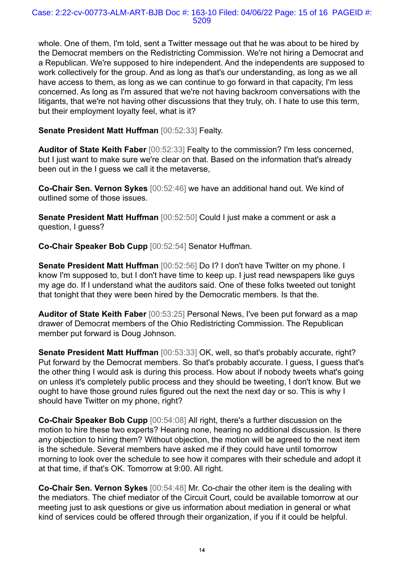whole. One of them, I'm told, sent a Twitter message out that he was about to be hired by the Democrat members on the Redistricting Commission. We're not hiring a Democrat and a Republican. We're supposed to hire independent. And the independents are supposed to work collectively for the group. And as long as that's our understanding, as long as we all have access to them, as long as we can continue to go forward in that capacity, I'm less concerned. As long as I'm assured that we're not having backroom conversations with the litigants, that we're not having other discussions that they truly, oh. I hate to use this term, but their employment loyalty feel, what is it?

**Senate President Matt Huffman** [00:52:33] Fealty.

**Auditor of State Keith Faber** [00:52:33] Fealty to the commission? I'm less concerned, but I just want to make sure we're clear on that. Based on the information that's already been out in the I guess we call it the metaverse,

**Co-Chair Sen. Vernon Sykes** [00:52:46] we have an additional hand out. We kind of outlined some of those issues.

**Senate President Matt Huffman** [00:52:50] Could I just make a comment or ask a question, I guess?

**Co-Chair Speaker Bob Cupp** [00:52:54] Senator Huffman.

**Senate President Matt Huffman** [00:52:56] Do I? I don't have Twitter on my phone. I know I'm supposed to, but I don't have time to keep up. I just read newspapers like guys my age do. If I understand what the auditors said. One of these folks tweeted out tonight that tonight that they were been hired by the Democratic members. Is that the.

**Auditor of State Keith Faber** [00:53:25] Personal News, I've been put forward as a map drawer of Democrat members of the Ohio Redistricting Commission. The Republican member put forward is Doug Johnson.

**Senate President Matt Huffman** [00:53:33] OK, well, so that's probably accurate, right? Put forward by the Democrat members. So that's probably accurate. I guess, I guess that's the other thing I would ask is during this process. How about if nobody tweets what's going on unless it's completely public process and they should be tweeting, I don't know. But we ought to have those ground rules figured out the next the next day or so. This is why I should have Twitter on my phone, right?

**Co-Chair Speaker Bob Cupp** [00:54:08] All right, there's a further discussion on the motion to hire these two experts? Hearing none, hearing no additional discussion. Is there any objection to hiring them? Without objection, the motion will be agreed to the next item is the schedule. Several members have asked me if they could have until tomorrow morning to look over the schedule to see how it compares with their schedule and adopt it at that time, if that's OK. Tomorrow at 9:00. All right.

**Co-Chair Sen. Vernon Sykes** [00:54:48] Mr. Co-chair the other item is the dealing with the mediators. The chief mediator of the Circuit Court, could be available tomorrow at our meeting just to ask questions or give us information about mediation in general or what kind of services could be offered through their organization, if you if it could be helpful.